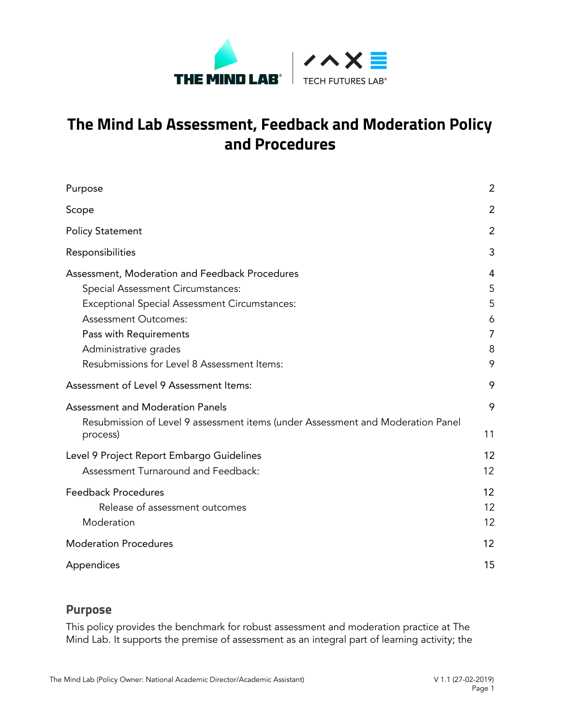

# **The Mind Lab Assessment, Feedback and Moderation Policy and Procedures**

| Purpose                                                                                                                                                                                                                                                               | $\overline{2}$                  |
|-----------------------------------------------------------------------------------------------------------------------------------------------------------------------------------------------------------------------------------------------------------------------|---------------------------------|
| Scope                                                                                                                                                                                                                                                                 | $\overline{2}$                  |
| <b>Policy Statement</b>                                                                                                                                                                                                                                               | $\overline{2}$                  |
| Responsibilities                                                                                                                                                                                                                                                      | 3                               |
| Assessment, Moderation and Feedback Procedures<br>Special Assessment Circumstances:<br>Exceptional Special Assessment Circumstances:<br><b>Assessment Outcomes:</b><br>Pass with Requirements<br>Administrative grades<br>Resubmissions for Level 8 Assessment Items: | 4<br>5<br>5<br>6<br>7<br>8<br>9 |
| Assessment of Level 9 Assessment Items:                                                                                                                                                                                                                               | 9                               |
| <b>Assessment and Moderation Panels</b><br>Resubmission of Level 9 assessment items (under Assessment and Moderation Panel<br>process)                                                                                                                                | 9<br>11                         |
| Level 9 Project Report Embargo Guidelines<br>Assessment Turnaround and Feedback:                                                                                                                                                                                      | 12<br>12                        |
| <b>Feedback Procedures</b><br>Release of assessment outcomes<br>Moderation                                                                                                                                                                                            | 12<br>12<br>12                  |
| <b>Moderation Procedures</b>                                                                                                                                                                                                                                          | 12                              |
| Appendices                                                                                                                                                                                                                                                            | 15                              |

# <span id="page-0-0"></span>**Purpose**

This policy provides the benchmark for robust assessment and moderation practice at The Mind Lab. It supports the premise of assessment as an integral part of learning activity; the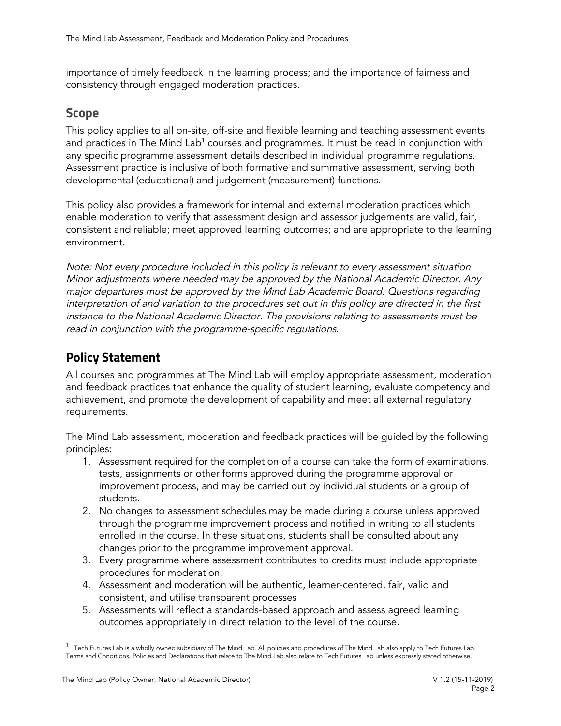importance of timely feedback in the learning process; and the importance of fairness and consistency through engaged moderation practices.

# <span id="page-1-0"></span>**Scope**

This policy applies to all on-site, off-site and flexible learning and teaching assessment events and practices in The Mind Lab $^1$  courses and programmes. It must be read in conjunction with any specific programme assessment details described in individual programme regulations. Assessment practice is inclusive of both formative and summative assessment, serving both developmental (educational) and judgement (measurement) functions.

This policy also provides a framework for internal and external moderation practices which enable moderation to verify that assessment design and assessor judgements are valid, fair, consistent and reliable; meet approved learning outcomes; and are appropriate to the learning environment.

Note: Not every procedure included in this policy is relevant to every assessment situation. Minor adjustments where needed may be approved by the National Academic Director. Any major departures must be approved by the Mind Lab Academic Board. Questions regarding interpretation of and variation to the procedures set out in this policy are directed in the first instance to the National Academic Director. The provisions relating to assessments must be read in conjunction with the programme-specific regulations*.*

# <span id="page-1-1"></span>**Policy Statement**

All courses and programmes at The Mind Lab will employ appropriate assessment, moderation and feedback practices that enhance the quality of student learning, evaluate competency and achievement, and promote the development of capability and meet all external regulatory requirements.

The Mind Lab assessment, moderation and feedback practices will be guided by the following principles:

- 1. Assessment required for the completion of a course can take the form of examinations, tests, assignments or other forms approved during the programme approval or improvement process, and may be carried out by individual students or a group of students.
- 2. No changes to assessment schedules may be made during a course unless approved through the programme improvement process and notified in writing to all students enrolled in the course. In these situations, students shall be consulted about any changes prior to the programme improvement approval.
- 3. Every programme where assessment contributes to credits must include appropriate procedures for moderation.
- 4. Assessment and moderation will be authentic, learner-centered, fair, valid and consistent, and utilise transparent processes
- 5. Assessments will reflect a standards-based approach and assess agreed learning outcomes appropriately in direct relation to the level of the course.

 $^1$  Tech Futures Lab is a wholly owned subsidiary of The Mind Lab. All policies and procedures of The Mind Lab also apply to Tech Futures Lab. Terms and Conditions, Policies and Declarations that relate to The Mind Lab also relate to Tech Futures Lab unless expressly stated otherwise.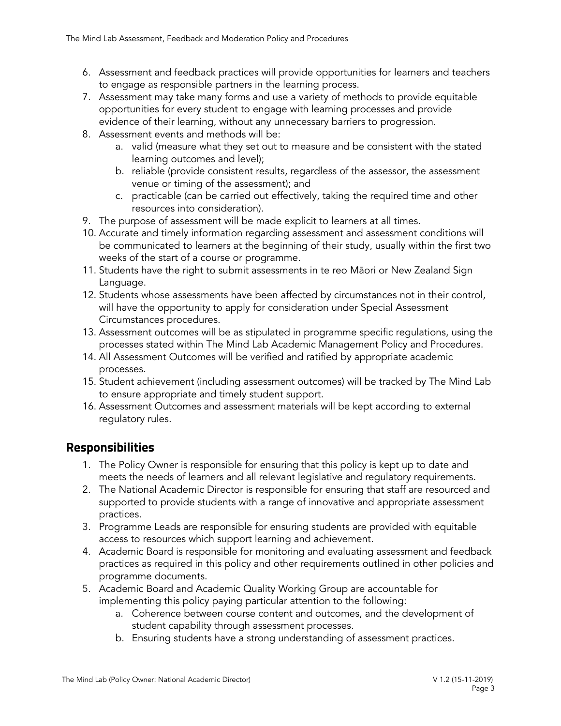- 6. Assessment and feedback practices will provide opportunities for learners and teachers to engage as responsible partners in the learning process.
- 7. Assessment may take many forms and use a variety of methods to provide equitable opportunities for every student to engage with learning processes and provide evidence of their learning, without any unnecessary barriers to progression.
- 8. Assessment events and methods will be:
	- a. valid (measure what they set out to measure and be consistent with the stated learning outcomes and level);
	- b. reliable (provide consistent results, regardless of the assessor, the assessment venue or timing of the assessment); and
	- c. practicable (can be carried out effectively, taking the required time and other resources into consideration).
- 9. The purpose of assessment will be made explicit to learners at all times.
- 10. Accurate and timely information regarding assessment and assessment conditions will be communicated to learners at the beginning of their study, usually within the first two weeks of the start of a course or programme.
- 11. Students have the right to submit assessments in te reo Māori or New Zealand Sign Language.
- 12. Students whose assessments have been affected by circumstances not in their control, will have the opportunity to apply for consideration under Special Assessment Circumstances procedures.
- 13. Assessment outcomes will be as stipulated in programme specific regulations, using the processes stated within The Mind Lab Academic Management Policy and Procedures.
- 14. All Assessment Outcomes will be verified and ratified by appropriate academic processes.
- 15. Student achievement (including assessment outcomes) will be tracked by The Mind Lab to ensure appropriate and timely student support.
- 16. Assessment Outcomes and assessment materials will be kept according to external regulatory rules.

# <span id="page-2-0"></span>**Responsibilities**

- 1. The Policy Owner is responsible for ensuring that this policy is kept up to date and meets the needs of learners and all relevant legislative and regulatory requirements.
- 2. The National Academic Director is responsible for ensuring that staff are resourced and supported to provide students with a range of innovative and appropriate assessment practices.
- 3. Programme Leads are responsible for ensuring students are provided with equitable access to resources which support learning and achievement.
- 4. Academic Board is responsible for monitoring and evaluating assessment and feedback practices as required in this policy and other requirements outlined in other policies and programme documents.
- 5. Academic Board and Academic Quality Working Group are accountable for implementing this policy paying particular attention to the following:
	- a. Coherence between course content and outcomes, and the development of student capability through assessment processes.
	- b. Ensuring students have a strong understanding of assessment practices.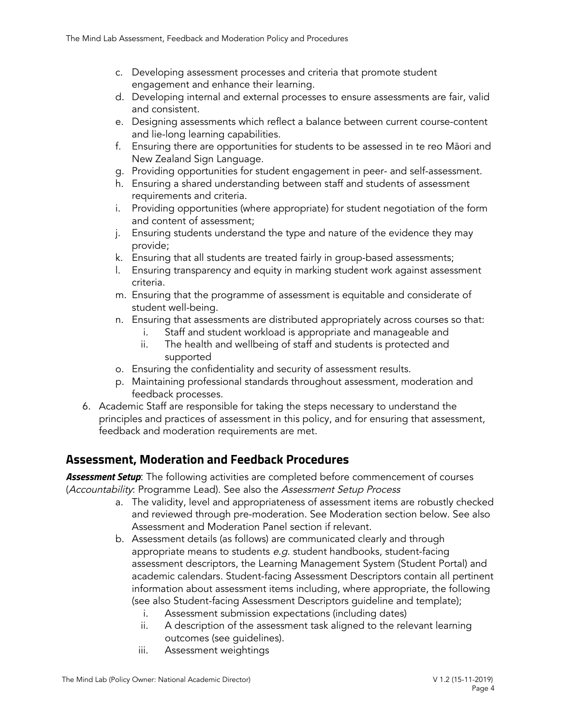- c. Developing assessment processes and criteria that promote student engagement and enhance their learning.
- d. Developing internal and external processes to ensure assessments are fair, valid and consistent.
- e. Designing assessments which reflect a balance between current course-content and lie-long learning capabilities.
- f. Ensuring there are opportunities for students to be assessed in te reo Māori and New Zealand Sign Language.
- g. Providing opportunities for student engagement in peer- and self-assessment.
- h. Ensuring a shared understanding between staff and students of assessment requirements and criteria.
- i. Providing opportunities (where appropriate) for student negotiation of the form and content of assessment;
- j. Ensuring students understand the type and nature of the evidence they may provide;
- k. Ensuring that all students are treated fairly in group-based assessments;
- l. Ensuring transparency and equity in marking student work against assessment criteria.
- m. Ensuring that the programme of assessment is equitable and considerate of student well-being.
- n. Ensuring that assessments are distributed appropriately across courses so that:
	- i. Staff and student workload is appropriate and manageable and
	- ii. The health and wellbeing of staff and students is protected and supported
- o. Ensuring the confidentiality and security of assessment results.
- p. Maintaining professional standards throughout assessment, moderation and feedback processes.
- 6. Academic Staff are responsible for taking the steps necessary to understand the principles and practices of assessment in this policy, and for ensuring that assessment, feedback and moderation requirements are met.

# <span id="page-3-0"></span>**Assessment, Moderation and Feedback Procedures**

*Assessment Setup*: The following activities are completed before commencement of courses (Accountability: Programme Lead). See also the Assessment Setup Process

- a. The validity, level and appropriateness of assessment items are robustly checked and reviewed through pre-moderation. See Moderation section below. See also Assessment and Moderation Panel section if relevant.
- b. Assessment details (as follows) are communicated clearly and through appropriate means to students e.g. student handbooks, student-facing assessment descriptors, the Learning Management System (Student Portal) and academic calendars. Student-facing Assessment Descriptors contain all pertinent information about assessment items including, where appropriate, the following (see also Student-facing Assessment Descriptors guideline and template);
	- i. Assessment submission expectations (including dates)
	- ii. A description of the assessment task aligned to the relevant learning outcomes (see guidelines).
	- iii. Assessment weightings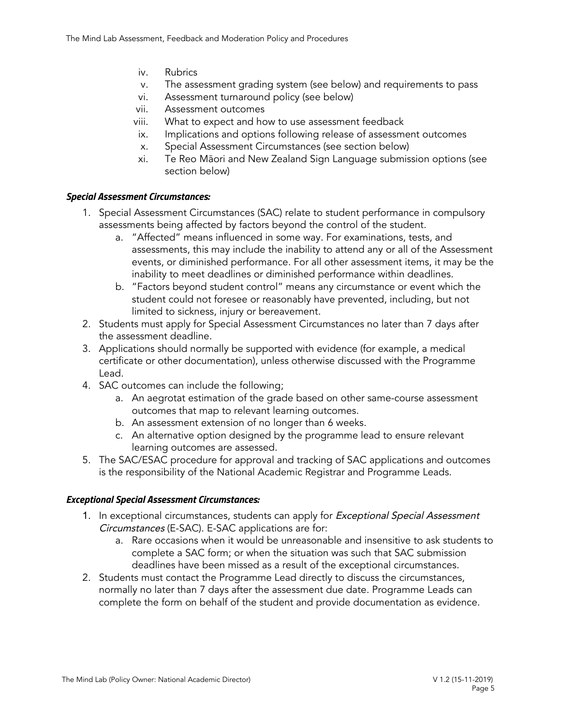- iv. Rubrics
- v. The assessment grading system (see below) and requirements to pass
- vi. Assessment turnaround policy (see below)
- vii. Assessment outcomes
- viii. What to expect and how to use assessment feedback
- ix. Implications and options following release of assessment outcomes
- x. Special Assessment Circumstances (see section below)
- xi. Te Reo Māori and New Zealand Sign Language submission options (see section below)

# <span id="page-4-0"></span>*Special Assessment Circumstances:*

- 1. Special Assessment Circumstances (SAC) relate to student performance in compulsory assessments being affected by factors beyond the control of the student.
	- a. "Affected" means influenced in some way. For examinations, tests, and assessments, this may include the inability to attend any or all of the Assessment events, or diminished performance. For all other assessment items, it may be the inability to meet deadlines or diminished performance within deadlines.
	- b. "Factors beyond student control" means any circumstance or event which the student could not foresee or reasonably have prevented, including, but not limited to sickness, injury or bereavement.
- 2. Students must apply for Special Assessment Circumstances no later than 7 days after the assessment deadline.
- 3. Applications should normally be supported with evidence (for example, a medical certificate or other documentation), unless otherwise discussed with the Programme Lead.
- 4. SAC outcomes can include the following;
	- a. An aegrotat estimation of the grade based on other same-course assessment outcomes that map to relevant learning outcomes.
	- b. An assessment extension of no longer than 6 weeks.
	- c. An alternative option designed by the programme lead to ensure relevant learning outcomes are assessed.
- 5. The SAC/ESAC procedure for approval and tracking of SAC applications and outcomes is the responsibility of the National Academic Registrar and Programme Leads.

# <span id="page-4-1"></span>*Exceptional Special Assessment Circumstances:*

- 1. In exceptional circumstances, students can apply for Exceptional Special Assessment Circumstances (E-SAC). E-SAC applications are for:
	- a. Rare occasions when it would be unreasonable and insensitive to ask students to complete a SAC form; or when the situation was such that SAC submission deadlines have been missed as a result of the exceptional circumstances.
- 2. Students must contact the Programme Lead directly to discuss the circumstances, normally no later than 7 days after the assessment due date. Programme Leads can complete the form on behalf of the student and provide documentation as evidence.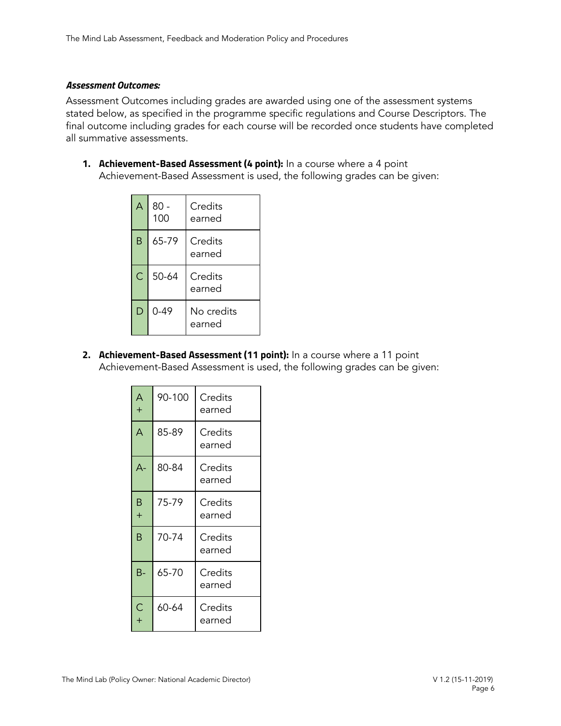#### <span id="page-5-0"></span>*Assessment Outcomes:*

Assessment Outcomes including grades are awarded using one of the assessment systems stated below, as specified in the programme specific regulations and Course Descriptors. The final outcome including grades for each course will be recorded once students have completed all summative assessments.

**1. Achievement-Based Assessment (4 point):** In a course where a 4 point Achievement-Based Assessment is used, the following grades can be given:

| А              | $80 -$<br>100 | Credits<br>earned    |
|----------------|---------------|----------------------|
| B              | 65-79         | Credits<br>earned    |
| $\overline{C}$ | 50-64         | Credits<br>earned    |
| D              | 0-49          | No credits<br>earned |

**2. Achievement-Based Assessment (11 point):** In a course where a 11 point Achievement-Based Assessment is used, the following grades can be given:

| A<br>$^{+}$ | 90-100 | Credits<br>earned |
|-------------|--------|-------------------|
| A           | 85-89  | Credits<br>earned |
| $A -$       | 80-84  | Credits<br>earned |
| B<br>$^{+}$ | 75-79  | Credits<br>earned |
| B           | 70-74  | Credits<br>earned |
| $B -$       | 65-70  | Credits<br>earned |
| C<br>$^{+}$ | 60-64  | Credits<br>earned |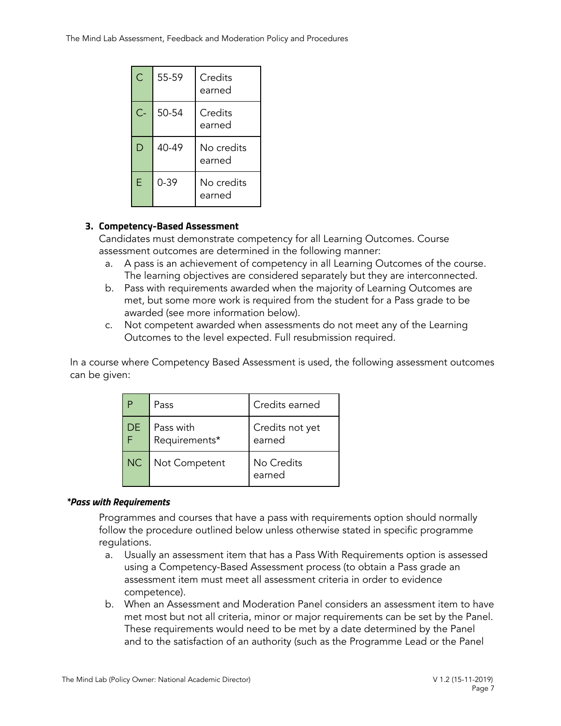| Ć     | 55-59    | Credits<br>earned    |
|-------|----------|----------------------|
| $C -$ | 50-54    | Credits<br>earned    |
| D     | 40-49    | No credits<br>earned |
| E     | $0 - 39$ | No credits<br>earned |

# **3. Competency-Based Assessment**

Candidates must demonstrate competency for all Learning Outcomes. Course assessment outcomes are determined in the following manner:

- a. A pass is an achievement of competency in all Learning Outcomes of the course. The learning objectives are considered separately but they are interconnected.
- b. Pass with requirements awarded when the majority of Learning Outcomes are met, but some more work is required from the student for a Pass grade to be awarded (see more information below).
- c. Not competent awarded when assessments do not meet any of the Learning Outcomes to the level expected. Full resubmission required.

In a course where Competency Based Assessment is used, the following assessment outcomes can be given:

|     | Pass                       | Credits earned            |
|-----|----------------------------|---------------------------|
| DE. | Pass with<br>Requirements* | Credits not yet<br>earned |
| NC  | Not Competent              | No Credits<br>earned      |

# <span id="page-6-0"></span>*\*Pass with Requirements*

Programmes and courses that have a pass with requirements option should normally follow the procedure outlined below unless otherwise stated in specific programme regulations.

- a. Usually an assessment item that has a Pass With Requirements option is assessed using a Competency-Based Assessment process (to obtain a Pass grade an assessment item must meet all assessment criteria in order to evidence competence).
- b. When an Assessment and Moderation Panel considers an assessment item to have met most but not all criteria, minor or major requirements can be set by the Panel. These requirements would need to be met by a date determined by the Panel and to the satisfaction of an authority (such as the Programme Lead or the Panel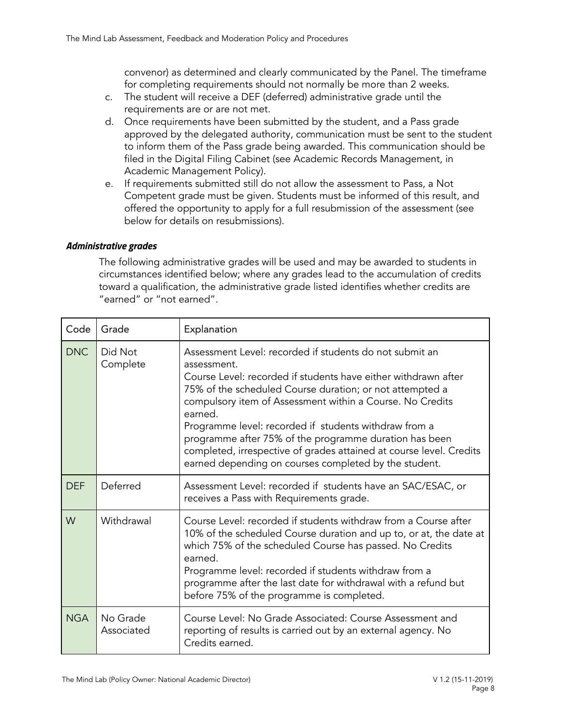convenor) as determined and clearly communicated by the Panel. The timeframe for completing requirements should not normally be more than 2 weeks.

- c. The student will receive a DEF (deferred) administrative grade until the requirements are or are not met.
- d. Once requirements have been submitted by the student, and a Pass grade approved by the delegated authority, communication must be sent to the student to inform them of the Pass grade being awarded. This communication should be filed in the Digital Filing Cabinet (see Academic Records Management, in Academic Management Policy).
- e. If requirements submitted still do not allow the assessment to Pass, a Not Competent grade must be given. Students must be informed of this result, and offered the opportunity to apply for a full resubmission of the assessment (see below for details on resubmissions).

# <span id="page-7-0"></span>*Administrative grades*

The following administrative grades will be used and may be awarded to students in circumstances identified below; where any grades lead to the accumulation of credits toward a qualification, the administrative grade listed identifies whether credits are "earned" or "not earned".

| Code       | Grade                  | Explanation                                                                                                                                                                                                                                                                                                                                                                                                                                                                                                                     |
|------------|------------------------|---------------------------------------------------------------------------------------------------------------------------------------------------------------------------------------------------------------------------------------------------------------------------------------------------------------------------------------------------------------------------------------------------------------------------------------------------------------------------------------------------------------------------------|
| <b>DNC</b> | Did Not<br>Complete    | Assessment Level: recorded if students do not submit an<br>assessment.<br>Course Level: recorded if students have either withdrawn after<br>75% of the scheduled Course duration; or not attempted a<br>compulsory item of Assessment within a Course. No Credits<br>earned.<br>Programme level: recorded if students withdraw from a<br>programme after 75% of the programme duration has been<br>completed, irrespective of grades attained at course level. Credits<br>earned depending on courses completed by the student. |
| <b>DEF</b> | Deferred               | Assessment Level: recorded if students have an SAC/ESAC, or<br>receives a Pass with Requirements grade.                                                                                                                                                                                                                                                                                                                                                                                                                         |
| W          | Withdrawal             | Course Level: recorded if students withdraw from a Course after<br>10% of the scheduled Course duration and up to, or at, the date at<br>which 75% of the scheduled Course has passed. No Credits<br>earned.<br>Programme level: recorded if students withdraw from a<br>programme after the last date for withdrawal with a refund but<br>before 75% of the programme is completed.                                                                                                                                            |
| <b>NGA</b> | No Grade<br>Associated | Course Level: No Grade Associated: Course Assessment and<br>reporting of results is carried out by an external agency. No<br>Credits earned.                                                                                                                                                                                                                                                                                                                                                                                    |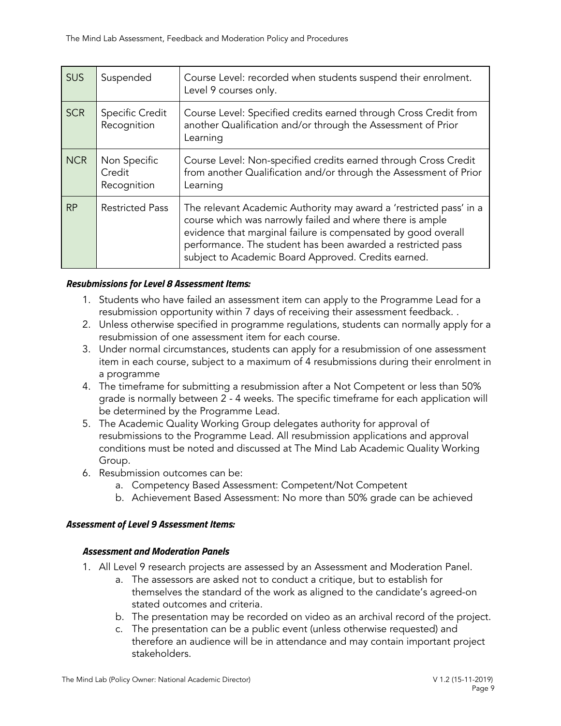| <b>SUS</b> | Suspended                             | Course Level: recorded when students suspend their enrolment.<br>Level 9 courses only.                                                                                                                                                                                                                                 |
|------------|---------------------------------------|------------------------------------------------------------------------------------------------------------------------------------------------------------------------------------------------------------------------------------------------------------------------------------------------------------------------|
| <b>SCR</b> | <b>Specific Credit</b><br>Recognition | Course Level: Specified credits earned through Cross Credit from<br>another Qualification and/or through the Assessment of Prior<br>Learning                                                                                                                                                                           |
| <b>NCR</b> | Non Specific<br>Credit<br>Recognition | Course Level: Non-specified credits earned through Cross Credit<br>from another Qualification and/or through the Assessment of Prior<br>Learning                                                                                                                                                                       |
| <b>RP</b>  | <b>Restricted Pass</b>                | The relevant Academic Authority may award a 'restricted pass' in a<br>course which was narrowly failed and where there is ample<br>evidence that marginal failure is compensated by good overall<br>performance. The student has been awarded a restricted pass<br>subject to Academic Board Approved. Credits earned. |

#### <span id="page-8-0"></span>*Resubmissions for Level 8 Assessment Items:*

- 1. Students who have failed an assessment item can apply to the Programme Lead for a resubmission opportunity within 7 days of receiving their assessment feedback. .
- 2. Unless otherwise specified in programme regulations, students can normally apply for a resubmission of one assessment item for each course.
- 3. Under normal circumstances, students can apply for a resubmission of one assessment item in each course, subject to a maximum of 4 resubmissions during their enrolment in a programme
- 4. The timeframe for submitting a resubmission after a Not Competent or less than 50% grade is normally between 2 - 4 weeks. The specific timeframe for each application will be determined by the Programme Lead.
- 5. The Academic Quality Working Group delegates authority for approval of resubmissions to the Programme Lead. All resubmission applications and approval conditions must be noted and discussed at The Mind Lab Academic Quality Working Group.
- 6. Resubmission outcomes can be:
	- a. Competency Based Assessment: Competent/Not Competent
	- b. Achievement Based Assessment: No more than 50% grade can be achieved

# <span id="page-8-2"></span><span id="page-8-1"></span>*Assessment of Level 9 Assessment Items:*

#### *Assessment and Moderation Panels*

- 1. All Level 9 research projects are assessed by an Assessment and Moderation Panel.
	- a. The assessors are asked not to conduct a critique, but to establish for themselves the standard of the work as aligned to the candidate's agreed-on stated outcomes and criteria.
	- b. The presentation may be recorded on video as an archival record of the project.
	- c. The presentation can be a public event (unless otherwise requested) and therefore an audience will be in attendance and may contain important project stakeholders.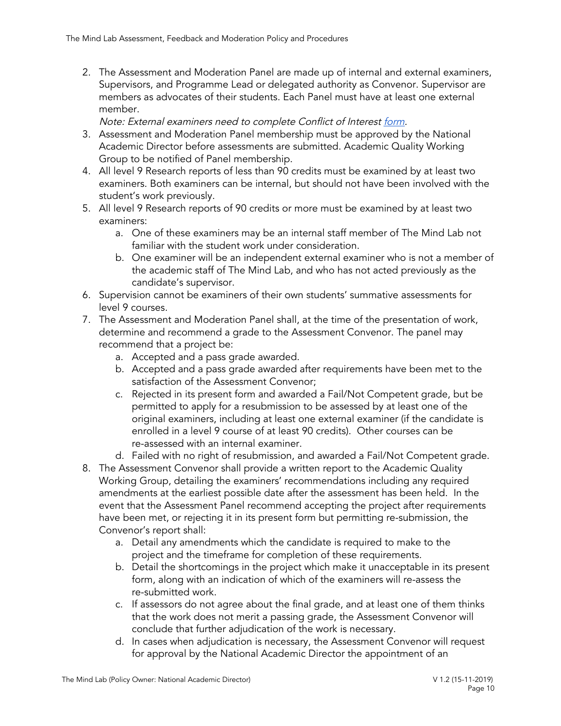2. The Assessment and Moderation Panel are made up of internal and external examiners, Supervisors, and Programme Lead or delegated authority as Convenor. Supervisor are members as advocates of their students. Each Panel must have at least one external member.

Note: External examiners need to complete Conflict of Interest [form](https://docs.google.com/document/d/17D-78qjEpZirZl7fzoff0XSTDhkkAiwUO9kIRPo6KyE/edit?ts=5c6b3e17).

- 3. Assessment and Moderation Panel membership must be approved by the National Academic Director before assessments are submitted. Academic Quality Working Group to be notified of Panel membership.
- 4. All level 9 Research reports of less than 90 credits must be examined by at least two examiners. Both examiners can be internal, but should not have been involved with the student's work previously.
- 5. All level 9 Research reports of 90 credits or more must be examined by at least two examiners:
	- a. One of these examiners may be an internal staff member of The Mind Lab not familiar with the student work under consideration.
	- b. One examiner will be an independent external examiner who is not a member of the academic staff of The Mind Lab, and who has not acted previously as the candidate's supervisor.
- 6. Supervision cannot be examiners of their own students' summative assessments for level 9 courses.
- 7. The Assessment and Moderation Panel shall, at the time of the presentation of work, determine and recommend a grade to the Assessment Convenor. The panel may recommend that a project be:
	- a. Accepted and a pass grade awarded.
	- b. Accepted and a pass grade awarded after requirements have been met to the satisfaction of the Assessment Convenor;
	- c. Rejected in its present form and awarded a Fail/Not Competent grade, but be permitted to apply for a resubmission to be assessed by at least one of the original examiners, including at least one external examiner (if the candidate is enrolled in a level 9 course of at least 90 credits). Other courses can be re-assessed with an internal examiner.
	- d. Failed with no right of resubmission, and awarded a Fail/Not Competent grade.
- 8. The Assessment Convenor shall provide a written report to the Academic Quality Working Group, detailing the examiners' recommendations including any required amendments at the earliest possible date after the assessment has been held. In the event that the Assessment Panel recommend accepting the project after requirements have been met, or rejecting it in its present form but permitting re-submission, the Convenor's report shall:
	- a. Detail any amendments which the candidate is required to make to the project and the timeframe for completion of these requirements.
	- b. Detail the shortcomings in the project which make it unacceptable in its present form, along with an indication of which of the examiners will re-assess the re-submitted work.
	- c. If assessors do not agree about the final grade, and at least one of them thinks that the work does not merit a passing grade, the Assessment Convenor will conclude that further adjudication of the work is necessary.
	- d. In cases when adjudication is necessary, the Assessment Convenor will request for approval by the National Academic Director the appointment of an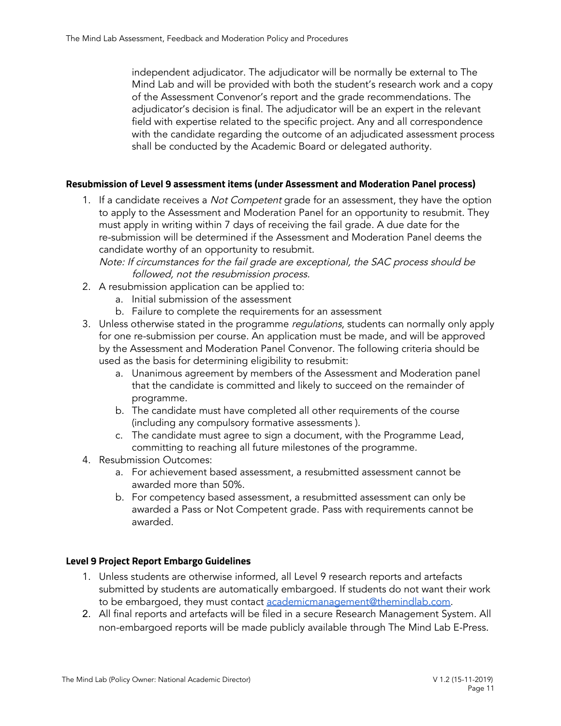independent adjudicator. The adjudicator will be normally be external to The Mind Lab and will be provided with both the student's research work and a copy of the Assessment Convenor's report and the grade recommendations. The adjudicator's decision is final. The adjudicator will be an expert in the relevant field with expertise related to the specific project. Any and all correspondence with the candidate regarding the outcome of an adjudicated assessment process shall be conducted by the Academic Board or delegated authority.

# <span id="page-10-0"></span>**Resubmission of Level 9 assessment items (under Assessment and Moderation Panel process)**

1. If a candidate receives a *Not Competent* grade for an assessment, they have the option to apply to the Assessment and Moderation Panel for an opportunity to resubmit. They must apply in writing within 7 days of receiving the fail grade. A due date for the re-submission will be determined if the Assessment and Moderation Panel deems the candidate worthy of an opportunity to resubmit.

Note: If circumstances for the fail grade are exceptional, the SAC process should be followed, not the resubmission process.

- 2. A resubmission application can be applied to:
	- a. Initial submission of the assessment
	- b. Failure to complete the requirements for an assessment
- 3. Unless otherwise stated in the programme regulations, students can normally only apply for one re-submission per course. An application must be made, and will be approved by the Assessment and Moderation Panel Convenor. The following criteria should be used as the basis for determining eligibility to resubmit:
	- a. Unanimous agreement by members of the Assessment and Moderation panel that the candidate is committed and likely to succeed on the remainder of programme.
	- b. The candidate must have completed all other requirements of the course (including any compulsory formative assessments ).
	- c. The candidate must agree to sign a document, with the Programme Lead, committing to reaching all future milestones of the programme.
- 4. Resubmission Outcomes:
	- a. For achievement based assessment, a resubmitted assessment cannot be awarded more than 50%.
	- b. For competency based assessment, a resubmitted assessment can only be awarded a Pass or Not Competent grade. Pass with requirements cannot be awarded.

#### <span id="page-10-1"></span>**Level 9 Project Report Embargo Guidelines**

- 1. Unless students are otherwise informed, all Level 9 research reports and artefacts submitted by students are automatically embargoed. If students do not want their work to be embargoed, they must contact [academicmanagement@themindlab.com.](mailto:academicmanagement@themindlab.com)
- 2. All final reports and artefacts will be filed in a secure Research Management System. All non-embargoed reports will be made publicly available through The Mind Lab E-Press.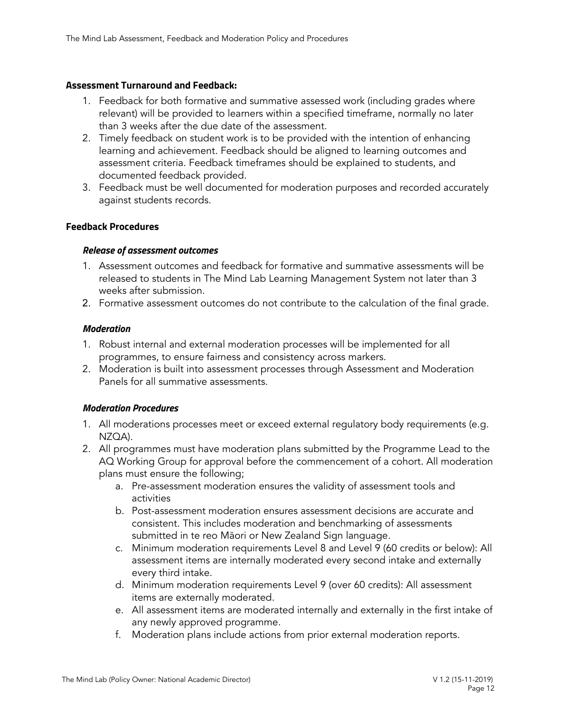#### <span id="page-11-0"></span>**Assessment Turnaround and Feedback:**

- 1. Feedback for both formative and summative assessed work (including grades where relevant) will be provided to learners within a specified timeframe, normally no later than 3 weeks after the due date of the assessment.
- 2. Timely feedback on student work is to be provided with the intention of enhancing learning and achievement. Feedback should be aligned to learning outcomes and assessment criteria. Feedback timeframes should be explained to students, and documented feedback provided.
- 3. Feedback must be well documented for moderation purposes and recorded accurately against students records.

#### <span id="page-11-2"></span><span id="page-11-1"></span>**Feedback Procedures**

#### *Release of assessment outcomes*

- 1. Assessment outcomes and feedback for formative and summative assessments will be released to students in The Mind Lab Learning Management System not later than 3 weeks after submission.
- <span id="page-11-3"></span>2. Formative assessment outcomes do not contribute to the calculation of the final grade.

#### *Moderation*

- 1. Robust internal and external moderation processes will be implemented for all programmes, to ensure fairness and consistency across markers.
- 2. Moderation is built into assessment processes through Assessment and Moderation Panels for all summative assessments.

# <span id="page-11-4"></span>*Moderation Procedures*

- 1. All moderations processes meet or exceed external regulatory body requirements (e.g. NZQA).
- 2. All programmes must have moderation plans submitted by the Programme Lead to the AQ Working Group for approval before the commencement of a cohort. All moderation plans must ensure the following;
	- a. Pre-assessment moderation ensures the validity of assessment tools and activities
	- b. Post-assessment moderation ensures assessment decisions are accurate and consistent. This includes moderation and benchmarking of assessments submitted in te reo Māori or New Zealand Sign language.
	- c. Minimum moderation requirements Level 8 and Level 9 (60 credits or below): All assessment items are internally moderated every second intake and externally every third intake.
	- d. Minimum moderation requirements Level 9 (over 60 credits): All assessment items are externally moderated.
	- e. All assessment items are moderated internally and externally in the first intake of any newly approved programme.
	- f. Moderation plans include actions from prior external moderation reports.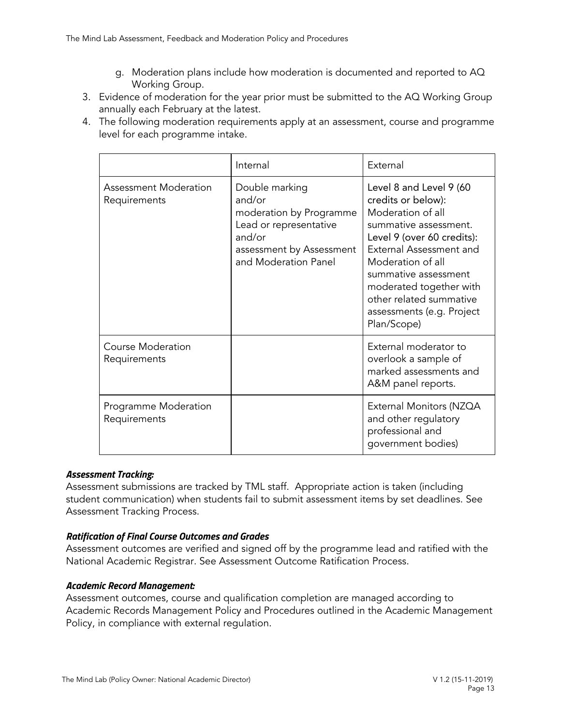- g. Moderation plans include how moderation is documented and reported to AQ Working Group.
- 3. Evidence of moderation for the year prior must be submitted to the AQ Working Group annually each February at the latest.
- 4. The following moderation requirements apply at an assessment, course and programme level for each programme intake.

|                                          | Internal                                                                                                                                    | External                                                                                                                                                                                                                                                                                            |
|------------------------------------------|---------------------------------------------------------------------------------------------------------------------------------------------|-----------------------------------------------------------------------------------------------------------------------------------------------------------------------------------------------------------------------------------------------------------------------------------------------------|
| Assessment Moderation<br>Requirements    | Double marking<br>and/or<br>moderation by Programme<br>Lead or representative<br>and/or<br>assessment by Assessment<br>and Moderation Panel | Level 8 and Level 9 (60<br>credits or below):<br>Moderation of all<br>summative assessment.<br>Level 9 (over 60 credits):<br>External Assessment and<br>Moderation of all<br>summative assessment<br>moderated together with<br>other related summative<br>assessments (e.g. Project<br>Plan/Scope) |
| <b>Course Moderation</b><br>Requirements |                                                                                                                                             | External moderator to<br>overlook a sample of<br>marked assessments and<br>A&M panel reports.                                                                                                                                                                                                       |
| Programme Moderation<br>Requirements     |                                                                                                                                             | External Monitors (NZQA<br>and other regulatory<br>professional and<br>government bodies)                                                                                                                                                                                                           |

# *Assessment Tracking:*

Assessment submissions are tracked by TML staff. Appropriate action is taken (including student communication) when students fail to submit assessment items by set deadlines. See Assessment Tracking Process.

# *Ratification of Final Course Outcomes and Grades*

Assessment outcomes are verified and signed off by the programme lead and ratified with the National Academic Registrar. See Assessment Outcome Ratification Process.

# *Academic Record Management:*

Assessment outcomes, course and qualification completion are managed according to Academic Records Management Policy and Procedures outlined in the Academic Management Policy, in compliance with external regulation.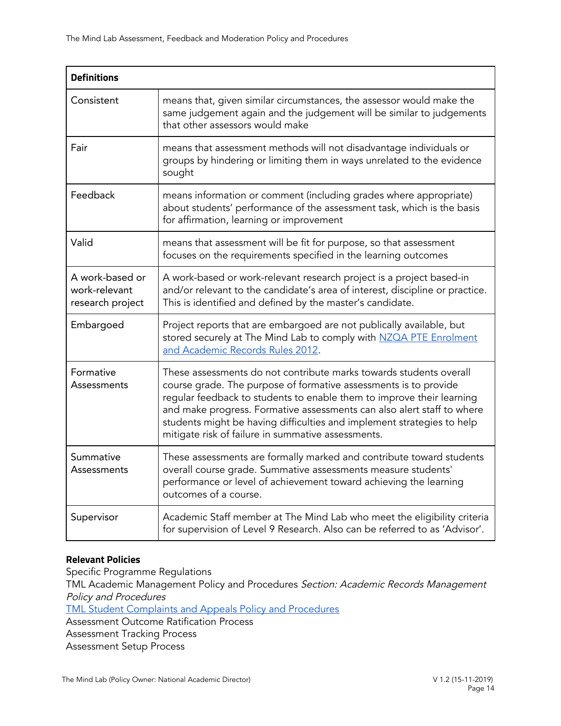| <b>Definitions</b>                                   |                                                                                                                                                                                                                                                                                                                                                                                                                           |
|------------------------------------------------------|---------------------------------------------------------------------------------------------------------------------------------------------------------------------------------------------------------------------------------------------------------------------------------------------------------------------------------------------------------------------------------------------------------------------------|
| Consistent                                           | means that, given similar circumstances, the assessor would make the<br>same judgement again and the judgement will be similar to judgements<br>that other assessors would make                                                                                                                                                                                                                                           |
| Fair                                                 | means that assessment methods will not disadvantage individuals or<br>groups by hindering or limiting them in ways unrelated to the evidence<br>sought                                                                                                                                                                                                                                                                    |
| Feedback                                             | means information or comment (including grades where appropriate)<br>about students' performance of the assessment task, which is the basis<br>for affirmation, learning or improvement                                                                                                                                                                                                                                   |
| Valid                                                | means that assessment will be fit for purpose, so that assessment<br>focuses on the requirements specified in the learning outcomes                                                                                                                                                                                                                                                                                       |
| A work-based or<br>work-relevant<br>research project | A work-based or work-relevant research project is a project based-in<br>and/or relevant to the candidate's area of interest, discipline or practice.<br>This is identified and defined by the master's candidate.                                                                                                                                                                                                         |
| Embargoed                                            | Project reports that are embargoed are not publically available, but<br>stored securely at The Mind Lab to comply with NZQA PTE Enrolment<br>and Academic Records Rules 2012.                                                                                                                                                                                                                                             |
| Formative<br>Assessments                             | These assessments do not contribute marks towards students overall<br>course grade. The purpose of formative assessments is to provide<br>regular feedback to students to enable them to improve their learning<br>and make progress. Formative assessments can also alert staff to where<br>students might be having difficulties and implement strategies to help<br>mitigate risk of failure in summative assessments. |
| Summative<br>Assessments                             | These assessments are formally marked and contribute toward students<br>overall course grade. Summative assessments measure students'<br>performance or level of achievement toward achieving the learning<br>outcomes of a course.                                                                                                                                                                                       |
| Supervisor                                           | Academic Staff member at The Mind Lab who meet the eligibility criteria<br>for supervision of Level 9 Research. Also can be referred to as 'Advisor'.                                                                                                                                                                                                                                                                     |

# **Relevant Policies**

Specific Programme Regulations TML Academic Management Policy and Procedures Section: Academic Records Management Policy and Procedures TML Student [Complaints](https://themindlab.com/student-complaints-and-appeals-policy-and-procedures/) and Appeals Policy and Procedures Assessment Outcome Ratification Process Assessment Tracking Process Assessment Setup Process